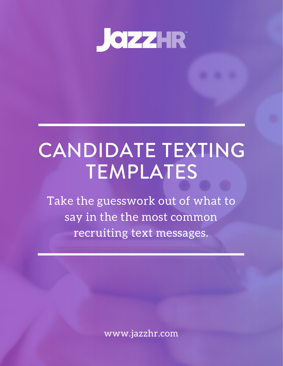

# CANDIDATE TEXTING TEMPLATES

Take the guesswork out of what to say in the the most common recruiting text messages.

www.jazzhr.com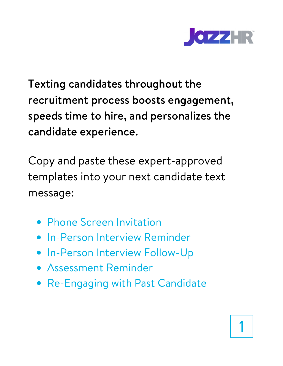

Texting candidates throughout the recruitment process boosts engagement, speeds time to hire, and personalizes the candidate experience.

Copy and paste these expert-approved templates into your next candidate text message:

- **Phone Screen Invitation**
- **In-Person Interview Reminder**
- In-Person Interview Follow-Up
- Assessment Reminder
- Re-Engaging with Past Candidate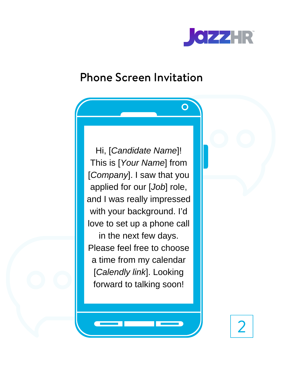

#### Phone Screen Invitation

Hi, [*Candidate Name*]! This is [*Your Name*] from [*Company*]. I saw that you applied for our [*Job*] role, and I was really impressed with your background. I'd love to set up a phone call in the next few days. Please feel free to choose a time from my calendar [*Calendly link*]. Looking forward to talking soon!

 $\mathcal{P}$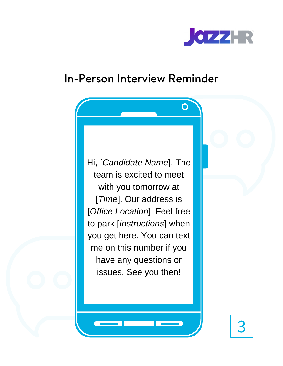

#### In-Person Interview Reminder

Hi, [*Candidate Name*]. The team is excited to meet with you tomorrow at [*Time*]. Our address is [*Office Location*]. Feel free to park [*Instructions*] when you get here. You can text me on this number if you have any questions or issues. See you then!

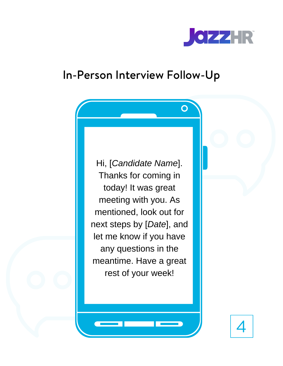

 $\overline{O}$ 

#### In-Person Interview Follow-Up

Hi, [*Candidate Name*]. Thanks for coming in today! It was great meeting with you. As mentioned, look out for next steps by [*Date*], and let me know if you have any questions in the meantime. Have a great rest of your week!

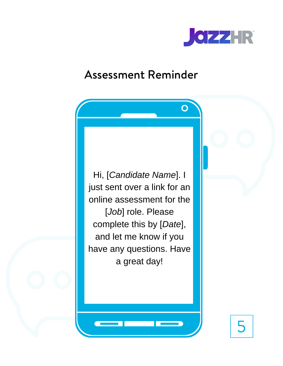

 $\bigcap$ 

#### Assessment Reminder

Hi, [*Candidate Name*]. I just sent over a link for an online assessment for the [*Job*] role. Please complete this by [*Date*], and let me know if you have any questions. Have a great day!

5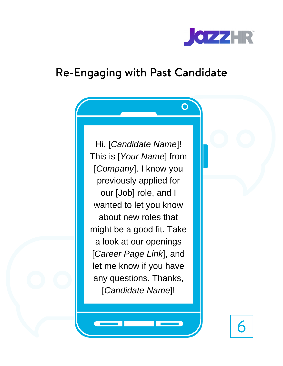

 $\mathbf O$ 

### Re-Engaging with Past Candidate

Hi, [*Candidate Name*]! This is [*Your Name*] from [*Company*]. I know you previously applied for our [Job] role, and I wanted to let you know about new roles that might be a good fit. Take a look at our openings [*Career Page Link*], and let me know if you have any questions. Thanks, [*Candidate Name*]!